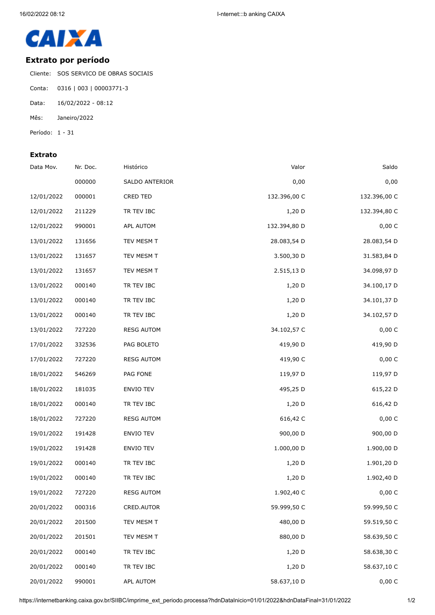

## **Extrato por período**

Cliente: SOS SERVICO DE OBRAS SOCIAIS

- Conta: 0316 | 003 | 00003771-3
- Data: 16/02/2022 08:12
- Mês: Janeiro/2022
- Período: 1 31

## **Extrato**

| Data Mov.  | Nr. Doc. | Histórico         | Valor        | Saldo        |
|------------|----------|-------------------|--------------|--------------|
|            | 000000   | SALDO ANTERIOR    | 0,00         | 0,00         |
| 12/01/2022 | 000001   | CRED TED          | 132.396,00 C | 132.396,00 C |
| 12/01/2022 | 211229   | TR TEV IBC        | 1,20 D       | 132.394,80 C |
| 12/01/2022 | 990001   | APL AUTOM         | 132.394,80 D | 0,00 C       |
| 13/01/2022 | 131656   | TEV MESM T        | 28.083,54 D  | 28.083,54 D  |
| 13/01/2022 | 131657   | TEV MESM T        | 3.500,30 D   | 31.583,84 D  |
| 13/01/2022 | 131657   | TEV MESM T        | 2.515,13 D   | 34.098,97 D  |
| 13/01/2022 | 000140   | TR TEV IBC        | $1,20$ D     | 34.100,17 D  |
| 13/01/2022 | 000140   | TR TEV IBC        | $1,20$ D     | 34.101,37 D  |
| 13/01/2022 | 000140   | TR TEV IBC        | 1,20 D       | 34.102,57 D  |
| 13/01/2022 | 727220   | <b>RESG AUTOM</b> | 34.102,57 C  | 0,00 C       |
| 17/01/2022 | 332536   | PAG BOLETO        | 419,90 D     | 419,90 D     |
| 17/01/2022 | 727220   | <b>RESG AUTOM</b> | 419,90 C     | 0,00 C       |
| 18/01/2022 | 546269   | PAG FONE          | 119,97 D     | 119,97 D     |
| 18/01/2022 | 181035   | ENVIO TEV         | 495,25 D     | 615,22 D     |
| 18/01/2022 | 000140   | TR TEV IBC        | $1,20$ D     | 616,42 D     |
| 18/01/2022 | 727220   | <b>RESG AUTOM</b> | 616,42 C     | 0,00 C       |
| 19/01/2022 | 191428   | ENVIO TEV         | 900,00 D     | 900,00 D     |
| 19/01/2022 | 191428   | ENVIO TEV         | 1.000,00 D   | 1.900,00 D   |
| 19/01/2022 | 000140   | TR TEV IBC        | $1,20$ D     | 1.901,20 D   |
| 19/01/2022 | 000140   | TR TEV IBC        | 1,20 D       | 1.902,40 D   |
| 19/01/2022 | 727220   | <b>RESG AUTOM</b> | 1.902,40 C   | 0,00 C       |
| 20/01/2022 | 000316   | CRED.AUTOR        | 59.999,50 C  | 59.999,50 C  |
| 20/01/2022 | 201500   | TEV MESM T        | 480,00 D     | 59.519,50 C  |
| 20/01/2022 | 201501   | TEV MESM T        | 880,00 D     | 58.639,50 C  |
| 20/01/2022 | 000140   | TR TEV IBC        | 1,20 D       | 58.638,30 C  |
| 20/01/2022 | 000140   | TR TEV IBC        | 1,20 D       | 58.637,10 C  |
| 20/01/2022 | 990001   | APL AUTOM         | 58.637,10 D  | 0,00 C       |